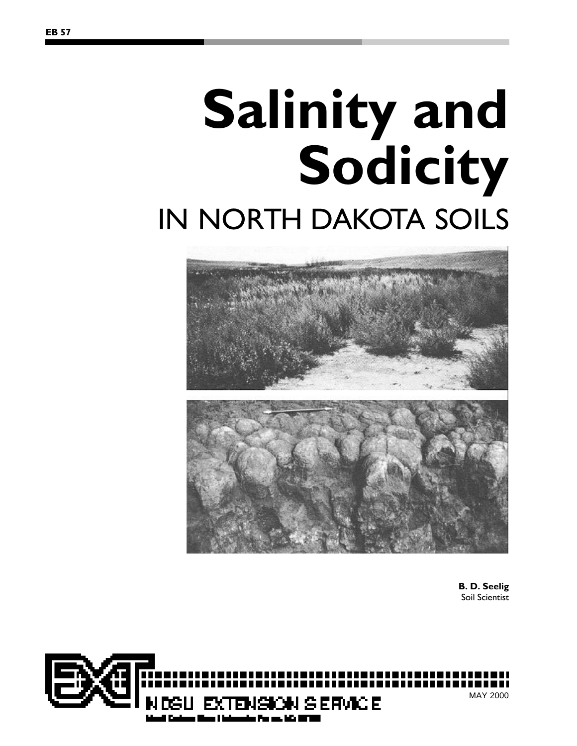# **Salinity and Sodicity** IN NORTH DAKOTA SOILS



**B. D. Seelig** Soil Scientist

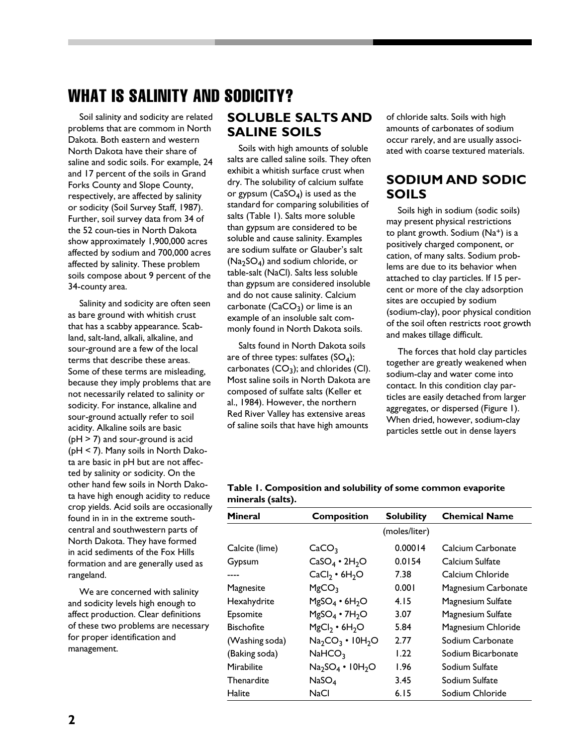# WHAT IS SALINITY AND SODICITY?

Soil salinity and sodicity are related problems that are commom in North Dakota. Both eastern and western North Dakota have their share of saline and sodic soils. For example, 24 and 17 percent of the soils in Grand Forks County and Slope County, respectively, are affected by salinity or sodicity (Soil Survey Staff, 1987). Further, soil survey data from 34 of the 52 coun-ties in North Dakota show approximately 1,900,000 acres affected by sodium and 700,000 acres affected by salinity. These problem soils compose about 9 percent of the 34-county area.

Salinity and sodicity are often seen as bare ground with whitish crust that has a scabby appearance. Scabland, salt-land, alkali, alkaline, and sour-ground are a few of the local terms that describe these areas. Some of these terms are misleading, because they imply problems that are not necessarily related to salinity or sodicity. For instance, alkaline and sour-ground actually refer to soil acidity. Alkaline soils are basic (pH > 7) and sour-ground is acid (pH < 7). Many soils in North Dakota are basic in pH but are not affected by salinity or sodicity. On the other hand few soils in North Dakota have high enough acidity to reduce crop yields. Acid soils are occasionally found in in in the extreme southcentral and southwestern parts of North Dakota. They have formed in acid sediments of the Fox Hills formation and are generally used as rangeland.

We are concerned with salinity and sodicity levels high enough to affect production. Clear definitions of these two problems are necessary for proper identification and management.

# **SOLUBLE SALTS AND SALINE SOILS**

Soils with high amounts of soluble salts are called saline soils. They often exhibit a whitish surface crust when dry. The solubility of calcium sulfate or gypsum (CaSO $_4$ ) is used as the standard for comparing solubilities of salts (Table 1). Salts more soluble than gypsum are considered to be soluble and cause salinity. Examples are sodium sulfate or Glauber's salt  $({\sf Na}_2 {\sf SO}_4)$  and sodium chloride, or table-salt (NaCl). Salts less soluble than gypsum are considered insoluble and do not cause salinity. Calcium carbonate  $(\mathsf{CaCO}_3)$  or lime is an example of an insoluble salt commonly found in North Dakota soils.

Salts found in North Dakota soils are of three types: sulfates (SO<sub>4</sub>); carbonates  $(\mathsf{CO}_3)$ ; and chlorides (Cl). Most saline soils in North Dakota are composed of sulfate salts (Keller et al., 1984). However, the northern Red River Valley has extensive areas of saline soils that have high amounts

of chloride salts. Soils with high amounts of carbonates of sodium occur rarely, and are usually associated with coarse textured materials.

# **SODIUM AND SODIC SOILS**

Soils high in sodium (sodic soils) may present physical restrictions to plant growth. Sodium (Na<sup>+</sup>) is a positively charged component, or cation, of many salts. Sodium problems are due to its behavior when attached to clay particles. If 15 percent or more of the clay adsorption sites are occupied by sodium (sodium-clay), poor physical condition of the soil often restricts root growth and makes tillage difficult.

The forces that hold clay particles together are greatly weakened when sodium-clay and water come into contact. In this condition clay particles are easily detached from larger aggregates, or dispersed (Figure 1). When dried, however, sodium-clay particles settle out in dense layers

| <b>Mineral</b>    | <b>Composition</b>            | <b>Solubility</b> | <b>Chemical Name</b> |
|-------------------|-------------------------------|-------------------|----------------------|
|                   |                               | (moles/liter)     |                      |
| Calcite (lime)    | CaCO <sub>3</sub>             | 0.00014           | Calcium Carbonate    |
| Gypsum            | $CaSO4 \cdot 2H2O$            | 0.0154            | Calcium Sulfate      |
|                   | $CaCl2 \cdot 6H2O$            | 7.38              | Calcium Chloride     |
| Magnesite         | MgCO <sub>3</sub>             | 0.001             | Magnesium Carbonate  |
| Hexahydrite       | $MgSO_4 \cdot 6H_2O$          | 4.15              | Magnesium Sulfate    |
| Epsomite          | $MgSO_4 \cdot 7H_2O$          | 3.07              | Magnesium Sulfate    |
| <b>Bischofite</b> | $MgCl2 \cdot 6H2O$            | 5.84              | Magnesium Chloride   |
| (Washing soda)    | $Na2CO3$ • 10H <sub>2</sub> O | 2.77              | Sodium Carbonate     |
| (Baking soda)     | NaHCO <sub>3</sub>            | 1.22              | Sodium Bicarbonate   |
| Mirabilite        | $Na2SO4$ • 10H <sub>2</sub> O | 1.96              | Sodium Sulfate       |
| Thenardite        | NaSO <sub>4</sub>             | 3.45              | Sodium Sulfate       |
| Halite            | NaCl                          | 6.15              | Sodium Chloride      |

| Table 1. Composition and solubility of some common evaporite |  |
|--------------------------------------------------------------|--|
| minerals (salts).                                            |  |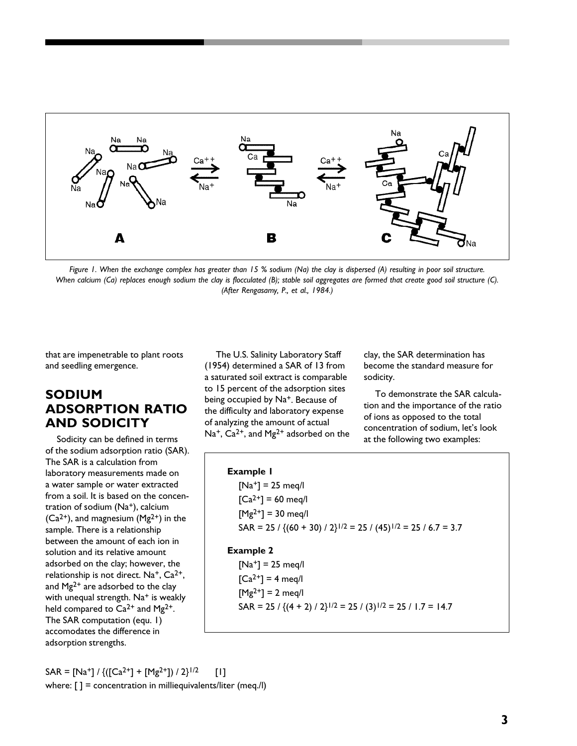

*Figure 1. When the exchange complex has greater than 15 % sodium (Na) the clay is dispersed (A) resulting in poor soil structure. When calcium (Ca) replaces enough sodium the clay is flocculated (B); stable soil aggregates are formed that create good soil structure (C). (After Rengasamy, P., et al., 1984.)*

that are impenetrable to plant roots and seedling emergence.

# **SODIUM ADSORPTION RATIO AND SODICITY**

Sodicity can be defined in terms of the sodium adsorption ratio (SAR). The SAR is a calculation from laboratory measurements made on a water sample or water extracted from a soil. It is based on the concentration of sodium (Na+), calcium  $(Ca<sup>2+</sup>)$ , and magnesium  $(Mg<sup>2+</sup>)$  in the sample. There is a relationship between the amount of each ion in solution and its relative amount adsorbed on the clay; however, the relationship is not direct. Na<sup>+</sup>, Ca<sup>2+</sup>, and Mg<sup>2+</sup> are adsorbed to the clay with unequal strength. Na<sup>+</sup> is weakly held compared to  $Ca^{2+}$  and  $Mg^{2+}$ . The SAR computation (equ. 1) accomodates the difference in adsorption strengths.

The U.S. Salinity Laboratory Staff (1954) determined a SAR of 13 from a saturated soil extract is comparable to 15 percent of the adsorption sites being occupied by Na<sup>+</sup>. Because of the difficulty and laboratory expense of analyzing the amount of actual Na<sup>+</sup>, Ca<sup>2+</sup>, and Mg<sup>2+</sup> adsorbed on the clay, the SAR determination has become the standard measure for sodicity.

To demonstrate the SAR calculation and the importance of the ratio of ions as opposed to the total concentration of sodium, let's look at the following two examples:

# **Example 1**

 $[Na^+] = 25$  meq/l  $[Ca^{2+}] = 60$  meg/l  $[Mg^{2+}] = 30$  meg/l SAR = 25 / { $(60 + 30)$  / 2}<sup>1/2</sup> = 25 /  $(45)$ <sup>1/2</sup> = 25 / 6.7 = 3.7

#### **Example 2**

 $[Na^+] = 25$  meq/l  $[Ca^{2+}] = 4$  meq/l  $[Mg^{2+}] = 2$  meq/l SAR = 25 /  $\{(4 + 2) / 2\}^{1/2} = 25 / (3)^{1/2} = 25 / 1.7 = 14.7$ 

 $SAR = [Na^{+}] / \{([Ca^{2+}] + [Mg^{2+}]) / 2\}^{1/2}$  [1] where:  $[ ] =$  concentration in milliequivalents/liter (meq./l)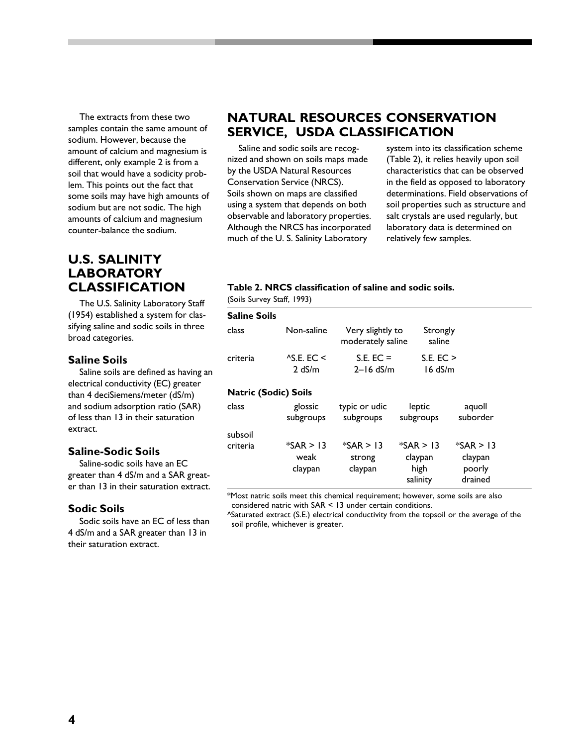The extracts from these two samples contain the same amount of sodium. However, because the amount of calcium and magnesium is different, only example 2 is from a soil that would have a sodicity problem. This points out the fact that some soils may have high amounts of sodium but are not sodic. The high amounts of calcium and magnesium counter-balance the sodium.

# **U.S. SALINITY LABORATORY CLASSIFICATION**

The U.S. Salinity Laboratory Staff (1954) established a system for classifying saline and sodic soils in three broad categories.

#### **Saline Soils**

Saline soils are defined as having an electrical conductivity (EC) greater than 4 deciSiemens/meter (dS/m) and sodium adsorption ratio (SAR) of less than 13 in their saturation extract.

#### **Saline-Sodic Soils**

Saline-sodic soils have an EC greater than 4 dS/m and a SAR greater than 13 in their saturation extract.

#### **Sodic Soils**

Sodic soils have an EC of less than 4 dS/m and a SAR greater than 13 in their saturation extract.

# **NATURAL RESOURCES CONSERVATION SERVICE, USDA CLASSIFICATION**

Saline and sodic soils are recognized and shown on soils maps made by the USDA Natural Resources Conservation Service (NRCS). Soils shown on maps are classified using a system that depends on both observable and laboratory properties. Although the NRCS has incorporated much of the U. S. Salinity Laboratory

system into its classification scheme (Table 2), it relies heavily upon soil characteristics that can be observed in the field as opposed to laboratory determinations. Field observations of soil properties such as structure and salt crystals are used regularly, but laboratory data is determined on relatively few samples.

#### **Table 2. NRCS classification of saline and sodic soils.**

(Soils Survey Staff, 1993)

| <b>Saline Soils</b>         |                                |                                       |                                            |                                             |
|-----------------------------|--------------------------------|---------------------------------------|--------------------------------------------|---------------------------------------------|
| class                       | Non-saline                     | Very slightly to<br>moderately saline | Strongly<br>saline                         |                                             |
| criteria                    | $AS$ E. EC <<br>2 dS/m         | $S.E. EC =$<br>$2 - 16$ dS/m          | S.E. EC ><br>$16$ dS/m                     |                                             |
| <b>Natric (Sodic) Soils</b> |                                |                                       |                                            |                                             |
| class                       | glossic<br>subgroups           | typic or udic<br>subgroups            | leptic<br>subgroups                        | aquoll<br>suborder                          |
| subsoil                     |                                |                                       |                                            |                                             |
| criteria                    | $*SAR > 13$<br>weak<br>claypan | $*SAR > 13$<br>strong<br>claypan      | $*SAR > 13$<br>claypan<br>high<br>salinity | $*SAR > 13$<br>claypan<br>poorly<br>drained |

\*Most natric soils meet this chemical requirement; however, some soils are also considered natric with SAR < 13 under certain conditions.

^Saturated extract (S.E.) electrical conductivity from the topsoil or the average of the soil profile, whichever is greater.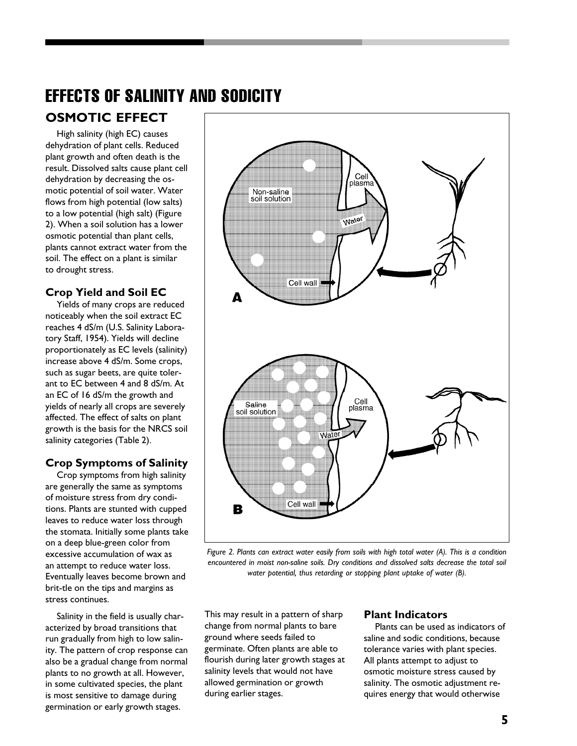# EFFECTS OF SALINITY AND SODICITY **OSMOTIC EFFECT**

High salinity (high EC) causes dehydration of plant cells. Reduced plant growth and often death is the result. Dissolved salts cause plant cell dehydration by decreasing the osmotic potential of soil water. Water flows from high potential (low salts) to a low potential (high salt) (Figure 2). When a soil solution has a lower osmotic potential than plant cells, plants cannot extract water from the soil. The effect on a plant is similar to drought stress.

## **Crop Yield and Soil EC**

Yields of many crops are reduced noticeably when the soil extract EC reaches 4 dS/m (U.S. Salinity Laboratory Staff, 1954). Yields will decline proportionately as EC levels (salinity) increase above 4 dS/m. Some crops, such as sugar beets, are quite tolerant to EC between 4 and 8 dS/m. At an EC of 16 dS/m the growth and yields of nearly all crops are severely affected. The effect of salts on plant growth is the basis for the NRCS soil salinity categories (Table 2).

## **Crop Symptoms of Salinity**

Crop symptoms from high salinity are generally the same as symptoms of moisture stress from dry conditions. Plants are stunted with cupped leaves to reduce water loss through the stomata. Initially some plants take on a deep blue-green color from excessive accumulation of wax as an attempt to reduce water loss. Eventually leaves become brown and brit-tle on the tips and margins as stress continues.

Salinity in the field is usually characterized by broad transitions that run gradually from high to low salinity. The pattern of crop response can also be a gradual change from normal plants to no growth at all. However, in some cultivated species, the plant is most sensitive to damage during germination or early growth stages.



*Figure 2. Plants can extract water easily from soils with high total water (A). This is a condition encountered in moist non-saline soils. Dry conditions and dissolved salts decrease the total soil water potential, thus retarding or stopping plant uptake of water (B).*

This may result in a pattern of sharp change from normal plants to bare ground where seeds failed to germinate. Often plants are able to flourish during later growth stages at salinity levels that would not have allowed germination or growth during earlier stages.

#### **Plant Indicators**

Plants can be used as indicators of saline and sodic conditions, because tolerance varies with plant species. All plants attempt to adjust to osmotic moisture stress caused by salinity. The osmotic adjustment requires energy that would otherwise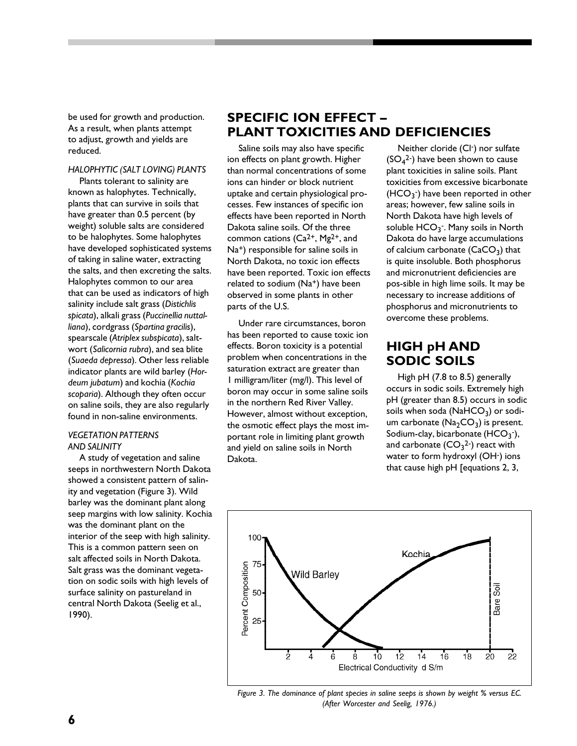be used for growth and production. As a result, when plants attempt to adjust, growth and yields are reduced.

#### *HALOPHYTIC (SALT LOVING) PLANTS*

Plants tolerant to salinity are known as halophytes. Technically, plants that can survive in soils that have greater than 0.5 percent (by weight) soluble salts are considered to be halophytes. Some halophytes have developed sophisticated systems of taking in saline water, extracting the salts, and then excreting the salts. Halophytes common to our area that can be used as indicators of high salinity include salt grass (*Distichlis spicata*), alkali grass (*Puccinellia nuttalliana*), cordgrass (*Spartina gracilis*), spearscale (*Atriplex subspicata*), saltwort (*Salicornia rubra*), and sea blite (*Suaeda depressa*). Other less reliable indicator plants are wild barley (*Hordeum jubatum*) and kochia (*Kochia scoparia*). Although they often occur on saline soils, they are also regularly found in non-saline environments.

#### *VEGETATION PATTERNS AND SALINITY*

A study of vegetation and saline seeps in northwestern North Dakota showed a consistent pattern of salinity and vegetation (Figure 3). Wild barley was the dominant plant along seep margins with low salinity. Kochia was the dominant plant on the interior of the seep with high salinity. This is a common pattern seen on salt affected soils in North Dakota. Salt grass was the dominant vegetation on sodic soils with high levels of surface salinity on pastureland in central North Dakota (Seelig et al., 1990).

# **SPECIFIC ION EFFECT – PLANT TOXICITIES AND DEFICIENCIES**

Saline soils may also have specific ion effects on plant growth. Higher than normal concentrations of some ions can hinder or block nutrient uptake and certain physiological processes. Few instances of specific ion effects have been reported in North Dakota saline soils. Of the three common cations  $(Ca^{2+}, Mg^{2+}, and$ Na+) responsible for saline soils in North Dakota, no toxic ion effects have been reported. Toxic ion effects related to sodium (Na<sup>+</sup>) have been observed in some plants in other parts of the U.S.

Under rare circumstances, boron has been reported to cause toxic ion effects. Boron toxicity is a potential problem when concentrations in the saturation extract are greater than 1 milligram/liter (mg/l). This level of boron may occur in some saline soils in the northern Red River Valley. However, almost without exception, the osmotic effect plays the most important role in limiting plant growth and yield on saline soils in North Dakota.

Neither cloride (Cl-) nor sulfate  $(SO_4^2)$  have been shown to cause plant toxicities in saline soils. Plant toxicities from excessive bicarbonate  $(HCO<sub>3</sub>$ <sup>-</sup>) have been reported in other areas; however, few saline soils in North Dakota have high levels of soluble HCO<sub>3</sub><sup>-</sup>. Many soils in North Dakota do have large accumulations of calcium carbonate  $(\mathsf{CaCO}_{3})$  that is quite insoluble. Both phosphorus and micronutrient deficiencies are pos-sible in high lime soils. It may be necessary to increase additions of phosphorus and micronutrients to overcome these problems.

# **HIGH pH AND SODIC SOILS**

High pH (7.8 to 8.5) generally occurs in sodic soils. Extremely high pH (greater than 8.5) occurs in sodic soils when soda ( $\mathsf{NaHCO}_3$ ) or sodium carbonate ( $\mathsf{Na_{2}CO_{3}}$ ) is present. Sodium-clay, bicarbonate  $(\mathsf{HCO_3}^-)$ , and carbonate  $(\mathsf{CO}_{3}{}^{2\text{-}})$  react with water to form hydroxyl (OH-) ions that cause high pH [equations 2, 3,



*Figure 3. The dominance of plant species in saline seeps is shown by weight % versus EC. (After Worcester and Seelig, 1976.)*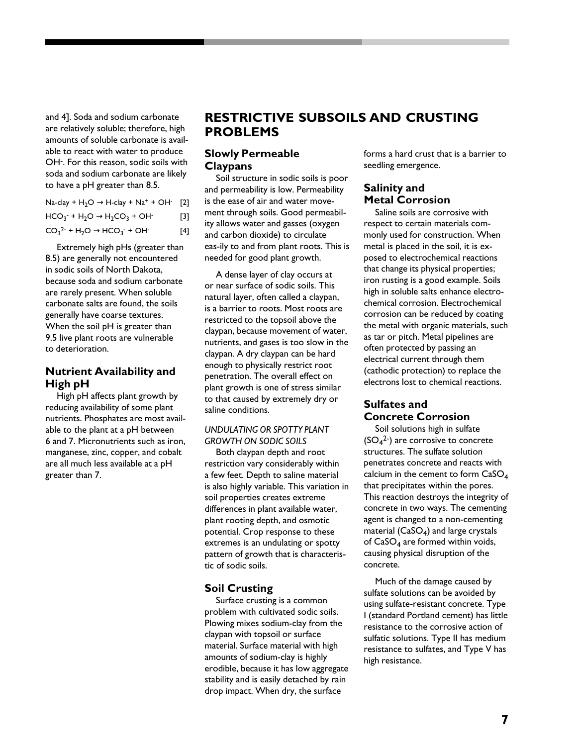and 4]. Soda and sodium carbonate are relatively soluble; therefore, high amounts of soluble carbonate is available to react with water to produce OH- . For this reason, sodic soils with soda and sodium carbonate are likely to have a pH greater than 8.5.

| Na-clay + $H_2O \rightarrow H$ -clay + Na <sup>+</sup> + OH· [2] |       |
|------------------------------------------------------------------|-------|
| $HCO_3$ + $H_2O \rightarrow H_2CO_3$ + OH                        | $[3]$ |
| $CO_3^2$ + H <sub>2</sub> O $\rightarrow$ HCO <sub>3</sub> + OH  | [4]   |

Extremely high pHs (greater than 8.5) are generally not encountered in sodic soils of North Dakota, because soda and sodium carbonate are rarely present. When soluble carbonate salts are found, the soils generally have coarse textures. When the soil pH is greater than 9.5 live plant roots are vulnerable to deterioration.

## **Nutrient Availability and High pH**

High pH affects plant growth by reducing availability of some plant nutrients. Phosphates are most available to the plant at a pH between 6 and 7. Micronutrients such as iron, manganese, zinc, copper, and cobalt are all much less available at a pH greater than 7.

# **RESTRICTIVE SUBSOILS AND CRUSTING PROBLEMS**

## **Slowly Permeable Claypans**

Soil structure in sodic soils is poor and permeability is low. Permeability is the ease of air and water movement through soils. Good permeability allows water and gasses (oxygen and carbon dioxide) to circulate eas-ily to and from plant roots. This is needed for good plant growth.

A dense layer of clay occurs at or near surface of sodic soils. This natural layer, often called a claypan, is a barrier to roots. Most roots are restricted to the topsoil above the claypan, because movement of water, nutrients, and gases is too slow in the claypan. A dry claypan can be hard enough to physically restrict root penetration. The overall effect on plant growth is one of stress similar to that caused by extremely dry or saline conditions.

#### *UNDULATING OR SPOTTY PLANT GROWTH ON SODIC SOILS*

Both claypan depth and root restriction vary considerably within a few feet. Depth to saline material is also highly variable. This variation in soil properties creates extreme differences in plant available water, plant rooting depth, and osmotic potential. Crop response to these extremes is an undulating or spotty pattern of growth that is characteristic of sodic soils.

## **Soil Crusting**

Surface crusting is a common problem with cultivated sodic soils. Plowing mixes sodium-clay from the claypan with topsoil or surface material. Surface material with high amounts of sodium-clay is highly erodible, because it has low aggregate stability and is easily detached by rain drop impact. When dry, the surface

forms a hard crust that is a barrier to seedling emergence.

## **Salinity and Metal Corrosion**

Saline soils are corrosive with respect to certain materials commonly used for construction. When metal is placed in the soil, it is exposed to electrochemical reactions that change its physical properties; iron rusting is a good example. Soils high in soluble salts enhance electrochemical corrosion. Electrochemical corrosion can be reduced by coating the metal with organic materials, such as tar or pitch. Metal pipelines are often protected by passing an electrical current through them (cathodic protection) to replace the electrons lost to chemical reactions.

## **Sulfates and Concrete Corrosion**

Soil solutions high in sulfate  $(SO_4^2)$  are corrosive to concrete structures. The sulfate solution penetrates concrete and reacts with calcium in the cement to form CaSO<sup>4</sup> that precipitates within the pores. This reaction destroys the integrity of concrete in two ways. The cementing agent is changed to a non-cementing material (CaSO<sub>4</sub>) and large crystals of  $\mathsf{CaSO}_4$  are formed within voids, causing physical disruption of the concrete.

Much of the damage caused by sulfate solutions can be avoided by using sulfate-resistant concrete. Type I (standard Portland cement) has little resistance to the corrosive action of sulfatic solutions. Type II has medium resistance to sulfates, and Type V has high resistance.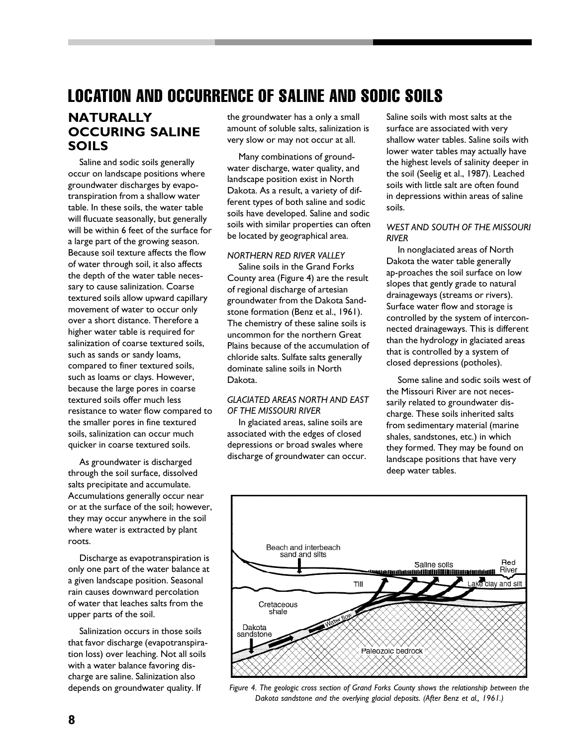# LOCATION AND OCCURRENCE OF SALINE AND SODIC SOILS

# **NATURALLY OCCURING SALINE SOILS**

Saline and sodic soils generally occur on landscape positions where groundwater discharges by evapotranspiration from a shallow water table. In these soils, the water table will flucuate seasonally, but generally will be within 6 feet of the surface for a large part of the growing season. Because soil texture affects the flow of water through soil, it also affects the depth of the water table necessary to cause salinization. Coarse textured soils allow upward capillary movement of water to occur only over a short distance. Therefore a higher water table is required for salinization of coarse textured soils, such as sands or sandy loams, compared to finer textured soils, such as loams or clays. However, because the large pores in coarse textured soils offer much less resistance to water flow compared to the smaller pores in fine textured soils, salinization can occur much quicker in coarse textured soils.

As groundwater is discharged through the soil surface, dissolved salts precipitate and accumulate. Accumulations generally occur near or at the surface of the soil; however, they may occur anywhere in the soil where water is extracted by plant roots.

Discharge as evapotranspiration is only one part of the water balance at a given landscape position. Seasonal rain causes downward percolation of water that leaches salts from the upper parts of the soil.

Salinization occurs in those soils that favor discharge (evapotranspiration loss) over leaching. Not all soils with a water balance favoring discharge are saline. Salinization also depends on groundwater quality. If

the groundwater has a only a small amount of soluble salts, salinization is very slow or may not occur at all.

Many combinations of groundwater discharge, water quality, and landscape position exist in North Dakota. As a result, a variety of different types of both saline and sodic soils have developed. Saline and sodic soils with similar properties can often be located by geographical area.

#### *NORTHERN RED RIVER VALLEY*

Saline soils in the Grand Forks County area (Figure 4) are the result of regional discharge of artesian groundwater from the Dakota Sandstone formation (Benz et al., 1961). The chemistry of these saline soils is uncommon for the northern Great Plains because of the accumulation of chloride salts. Sulfate salts generally dominate saline soils in North Dakota.

#### *GLACIATED AREAS NORTH AND EAST OF THE MISSOURI RIVER*

In glaciated areas, saline soils are associated with the edges of closed depressions or broad swales where discharge of groundwater can occur. Saline soils with most salts at the surface are associated with very shallow water tables. Saline soils with lower water tables may actually have the highest levels of salinity deeper in the soil (Seelig et al., 1987). Leached soils with little salt are often found in depressions within areas of saline soils.

#### *WEST AND SOUTH OF THE MISSOURI RIVER*

In nonglaciated areas of North Dakota the water table generally ap-proaches the soil surface on low slopes that gently grade to natural drainageways (streams or rivers). Surface water flow and storage is controlled by the system of interconnected drainageways. This is different than the hydrology in glaciated areas that is controlled by a system of closed depressions (potholes).

Some saline and sodic soils west of the Missouri River are not necessarily related to groundwater discharge. These soils inherited salts from sedimentary material (marine shales, sandstones, etc.) in which they formed. They may be found on landscape positions that have very deep water tables.



*Figure 4. The geologic cross section of Grand Forks County shows the relationship between the Dakota sandstone and the overlying glacial deposits. (After Benz et al., 1961.)*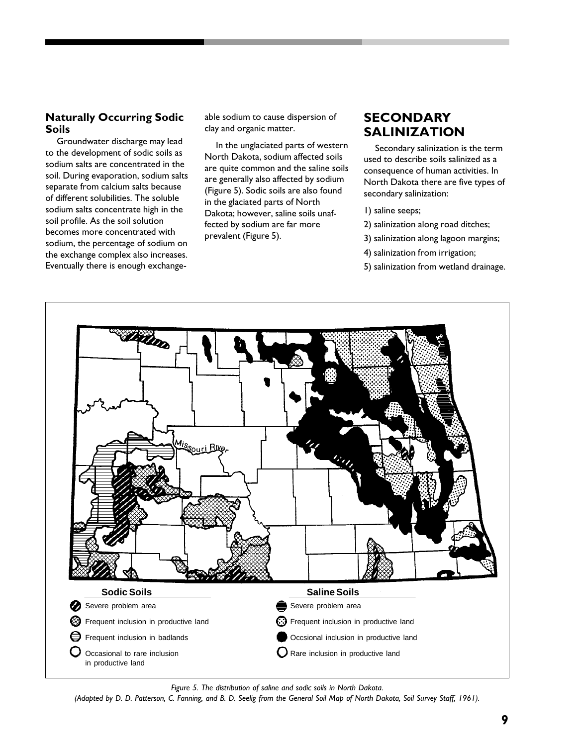## **Naturally Occurring Sodic Soils**

Groundwater discharge may lead to the development of sodic soils as sodium salts are concentrated in the soil. During evaporation, sodium salts separate from calcium salts because of different solubilities. The soluble sodium salts concentrate high in the soil profile. As the soil solution becomes more concentrated with sodium, the percentage of sodium on the exchange complex also increases. Eventually there is enough exchangeable sodium to cause dispersion of clay and organic matter.

In the unglaciated parts of western North Dakota, sodium affected soils are quite common and the saline soils are generally also affected by sodium (Figure 5). Sodic soils are also found in the glaciated parts of North Dakota; however, saline soils unaffected by sodium are far more prevalent (Figure 5).

# **SECONDARY SALINIZATION**

Secondary salinization is the term used to describe soils salinized as a consequence of human activities. In North Dakota there are five types of secondary salinization:

- 1) saline seeps;
- 2) salinization along road ditches;
- 3) salinization along lagoon margins;
- 4) salinization from irrigation;
- 5) salinization from wetland drainage.



*Figure 5. The distribution of saline and sodic soils in North Dakota.*

*(Adapted by D. D. Patterson, C. Fanning, and B. D. Seelig from the General Soil Map of North Dakota, Soil Survey Staff, 1961).*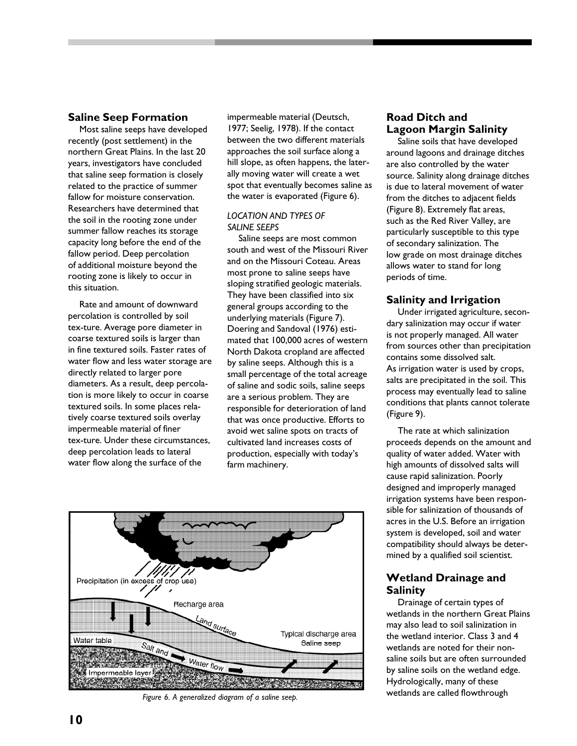#### **Saline Seep Formation**

Most saline seeps have developed recently (post settlement) in the northern Great Plains. In the last 20 years, investigators have concluded that saline seep formation is closely related to the practice of summer fallow for moisture conservation. Researchers have determined that the soil in the rooting zone under summer fallow reaches its storage capacity long before the end of the fallow period. Deep percolation of additional moisture beyond the rooting zone is likely to occur in this situation.

Rate and amount of downward percolation is controlled by soil tex-ture. Average pore diameter in coarse textured soils is larger than in fine textured soils. Faster rates of water flow and less water storage are directly related to larger pore diameters. As a result, deep percolation is more likely to occur in coarse textured soils. In some places relatively coarse textured soils overlay impermeable material of finer tex-ture. Under these circumstances, deep percolation leads to lateral water flow along the surface of the

impermeable material (Deutsch, 1977; Seelig, 1978). If the contact between the two different materials approaches the soil surface along a hill slope, as often happens, the laterally moving water will create a wet spot that eventually becomes saline as the water is evaporated (Figure 6).

#### *LOCATION AND TYPES OF SALINE SEEPS*

Saline seeps are most common south and west of the Missouri River and on the Missouri Coteau. Areas most prone to saline seeps have sloping stratified geologic materials. They have been classified into six general groups according to the underlying materials (Figure 7). Doering and Sandoval (1976) estimated that 100,000 acres of western North Dakota cropland are affected by saline seeps. Although this is a small percentage of the total acreage of saline and sodic soils, saline seeps are a serious problem. They are responsible for deterioration of land that was once productive. Efforts to avoid wet saline spots on tracts of cultivated land increases costs of production, especially with today's farm machinery.



## **Road Ditch and Lagoon Margin Salinity**

Saline soils that have developed around lagoons and drainage ditches are also controlled by the water source. Salinity along drainage ditches is due to lateral movement of water from the ditches to adjacent fields (Figure 8). Extremely flat areas, such as the Red River Valley, are particularly susceptible to this type of secondary salinization. The low grade on most drainage ditches allows water to stand for long periods of time.

## **Salinity and Irrigation**

Under irrigated agriculture, secondary salinization may occur if water is not properly managed. All water from sources other than precipitation contains some dissolved salt. As irrigation water is used by crops, salts are precipitated in the soil. This process may eventually lead to saline conditions that plants cannot tolerate (Figure 9).

The rate at which salinization proceeds depends on the amount and quality of water added. Water with high amounts of dissolved salts will cause rapid salinization. Poorly designed and improperly managed irrigation systems have been responsible for salinization of thousands of acres in the U.S. Before an irrigation system is developed, soil and water compatibility should always be determined by a qualified soil scientist.

## **Wetland Drainage and Salinity**

Drainage of certain types of wetlands in the northern Great Plains may also lead to soil salinization in the wetland interior. Class 3 and 4 wetlands are noted for their nonsaline soils but are often surrounded by saline soils on the wetland edge. Hydrologically, many of these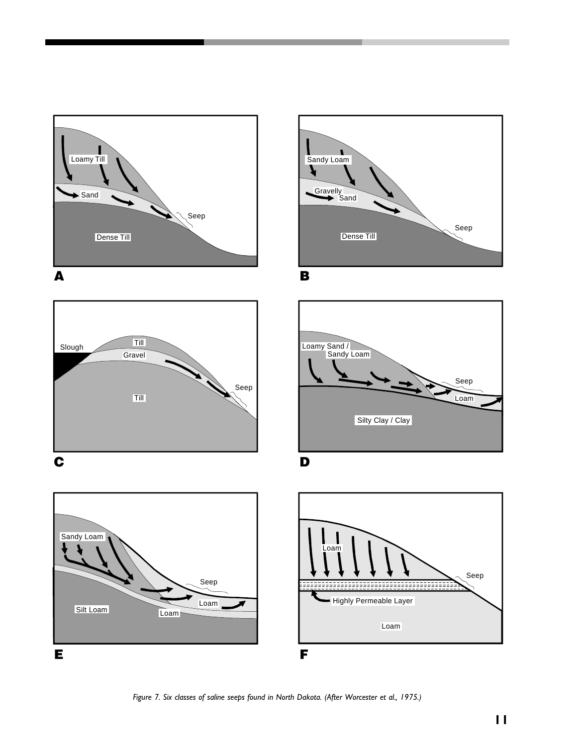







B



D



*Figure 7. Six classes of saline seeps found in North Dakota. (After Worcester et al., 1975.)*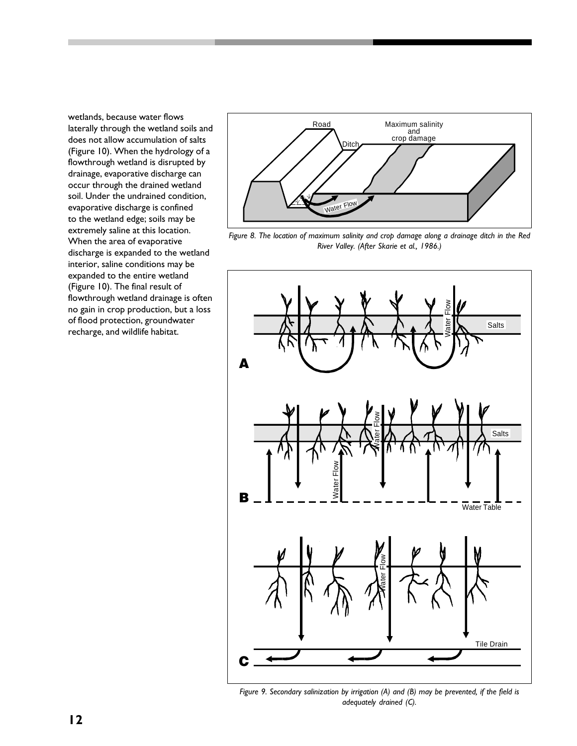wetlands, because water flows laterally through the wetland soils and does not allow accumulation of salts (Figure 10). When the hydrology of a flowthrough wetland is disrupted by drainage, evaporative discharge can occur through the drained wetland soil. Under the undrained condition, evaporative discharge is confined to the wetland edge; soils may be extremely saline at this location. When the area of evaporative discharge is expanded to the wetland interior, saline conditions may be expanded to the entire wetland (Figure 10). The final result of flowthrough wetland drainage is often no gain in crop production, but a loss of flood protection, groundwater recharge, and wildlife habitat.



*Figure 8. The location of maximum salinity and crop damage along a drainage ditch in the Red River Valley. (After Skarie et al., 1986.)*



*Figure 9. Secondary salinization by irrigation (A) and (B) may be prevented, if the field is adequately drained (C).*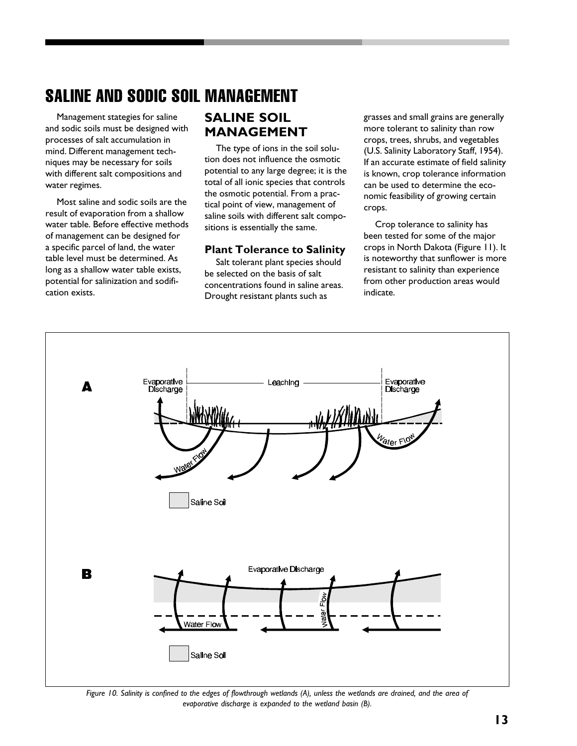# SALINE AND SODIC SOIL MANAGEMENT

Management stategies for saline and sodic soils must be designed with processes of salt accumulation in mind. Different management techniques may be necessary for soils with different salt compositions and water regimes.

Most saline and sodic soils are the result of evaporation from a shallow water table. Before effective methods of management can be designed for a specific parcel of land, the water table level must be determined. As long as a shallow water table exists, potential for salinization and sodification exists.

# **SALINE SOIL MANAGEMENT**

The type of ions in the soil solution does not influence the osmotic potential to any large degree; it is the total of all ionic species that controls the osmotic potential. From a practical point of view, management of saline soils with different salt compositions is essentially the same.

#### **Plant Tolerance to Salinity**

Salt tolerant plant species should be selected on the basis of salt concentrations found in saline areas. Drought resistant plants such as

grasses and small grains are generally more tolerant to salinity than row crops, trees, shrubs, and vegetables (U.S. Salinity Laboratory Staff, 1954). If an accurate estimate of field salinity is known, crop tolerance information can be used to determine the economic feasibility of growing certain crops.

Crop tolerance to salinity has been tested for some of the major crops in North Dakota (Figure 11). It is noteworthy that sunflower is more resistant to salinity than experience from other production areas would indicate.



*Figure 10. Salinity is confined to the edges of flowthrough wetlands (A), unless the wetlands are drained, and the area of evaporative discharge is expanded to the wetland basin (B).*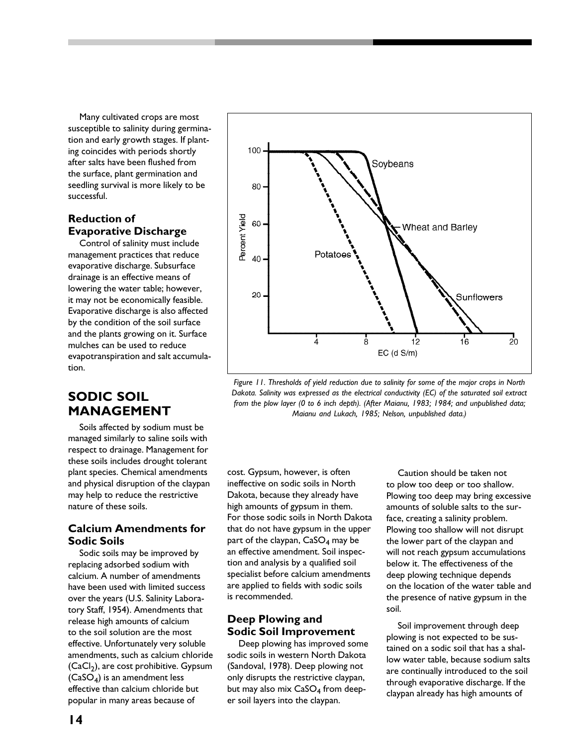Many cultivated crops are most susceptible to salinity during germination and early growth stages. If planting coincides with periods shortly after salts have been flushed from the surface, plant germination and seedling survival is more likely to be successful.

## **Reduction of Evaporative Discharge**

Control of salinity must include management practices that reduce evaporative discharge. Subsurface drainage is an effective means of lowering the water table; however, it may not be economically feasible. Evaporative discharge is also affected by the condition of the soil surface and the plants growing on it. Surface mulches can be used to reduce evapotranspiration and salt accumulation.

# **SODIC SOIL MANAGEMENT**

Soils affected by sodium must be managed similarly to saline soils with respect to drainage. Management for these soils includes drought tolerant plant species. Chemical amendments and physical disruption of the claypan may help to reduce the restrictive nature of these soils.

## **Calcium Amendments for Sodic Soils**

Sodic soils may be improved by replacing adsorbed sodium with calcium. A number of amendments have been used with limited success over the years (U.S. Salinity Laboratory Staff, 1954). Amendments that release high amounts of calcium to the soil solution are the most effective. Unfortunately very soluble amendments, such as calcium chloride (CaCl<sub>2</sub>), are cost prohibitive. Gypsum (CaSO<sup>4</sup> ) is an amendment less effective than calcium chloride but popular in many areas because of



*Figure 11. Thresholds of yield reduction due to salinity for some of the major crops in North Dakota. Salinity was expressed as the electrical conductivity (EC) of the saturated soil extract from the plow layer (0 to 6 inch depth). (After Maianu, 1983; 1984; and unpublished data; Maianu and Lukach, 1985; Nelson, unpublished data.)*

cost. Gypsum, however, is often ineffective on sodic soils in North Dakota, because they already have high amounts of gypsum in them. For those sodic soils in North Dakota that do not have gypsum in the upper part of the claypan,  $\mathsf{CaSO}_4$  may be an effective amendment. Soil inspection and analysis by a qualified soil specialist before calcium amendments are applied to fields with sodic soils is recommended.

## **Deep Plowing and Sodic Soil Improvement**

Deep plowing has improved some sodic soils in western North Dakota (Sandoval, 1978). Deep plowing not only disrupts the restrictive claypan, but may also mix CaSO<sub>4</sub> from deeper soil layers into the claypan.

Caution should be taken not to plow too deep or too shallow. Plowing too deep may bring excessive amounts of soluble salts to the surface, creating a salinity problem. Plowing too shallow will not disrupt the lower part of the claypan and will not reach gypsum accumulations below it. The effectiveness of the deep plowing technique depends on the location of the water table and the presence of native gypsum in the soil.

Soil improvement through deep plowing is not expected to be sustained on a sodic soil that has a shallow water table, because sodium salts are continually introduced to the soil through evaporative discharge. If the claypan already has high amounts of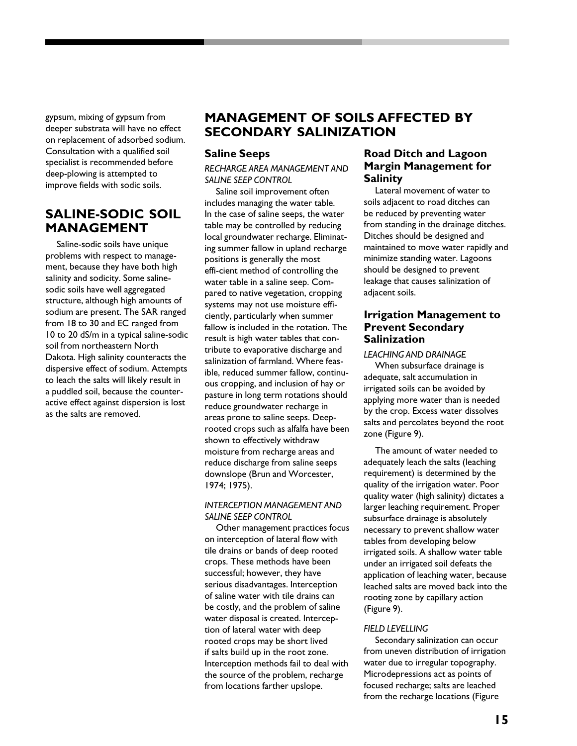gypsum, mixing of gypsum from deeper substrata will have no effect on replacement of adsorbed sodium. Consultation with a qualified soil specialist is recommended before deep-plowing is attempted to improve fields with sodic soils.

# **SALINE-SODIC SOIL MANAGEMENT**

Saline-sodic soils have unique problems with respect to management, because they have both high salinity and sodicity. Some salinesodic soils have well aggregated structure, although high amounts of sodium are present. The SAR ranged from 18 to 30 and EC ranged from 10 to 20 dS/m in a typical saline-sodic soil from northeastern North Dakota. High salinity counteracts the dispersive effect of sodium. Attempts to leach the salts will likely result in a puddled soil, because the counteractive effect against dispersion is lost as the salts are removed.

# **MANAGEMENT OF SOILS AFFECTED BY SECONDARY SALINIZATION**

#### **Saline Seeps**

*RECHARGE AREA MANAGEMENT AND SALINE SEEP CONTROL*

Saline soil improvement often includes managing the water table. In the case of saline seeps, the water table may be controlled by reducing local groundwater recharge. Eliminating summer fallow in upland recharge positions is generally the most effi-cient method of controlling the water table in a saline seep. Compared to native vegetation, cropping systems may not use moisture efficiently, particularly when summer fallow is included in the rotation. The result is high water tables that contribute to evaporative discharge and salinization of farmland. Where feasible, reduced summer fallow, continuous cropping, and inclusion of hay or pasture in long term rotations should reduce groundwater recharge in areas prone to saline seeps. Deeprooted crops such as alfalfa have been shown to effectively withdraw moisture from recharge areas and reduce discharge from saline seeps downslope (Brun and Worcester, 1974; 1975).

*INTERCEPTION MANAGEMENT AND SALINE SEEP CONTROL*

Other management practices focus on interception of lateral flow with tile drains or bands of deep rooted crops. These methods have been successful; however, they have serious disadvantages. Interception of saline water with tile drains can be costly, and the problem of saline water disposal is created. Interception of lateral water with deep rooted crops may be short lived if salts build up in the root zone. Interception methods fail to deal with the source of the problem, recharge from locations farther upslope.

## **Road Ditch and Lagoon Margin Management for Salinity**

Lateral movement of water to soils adjacent to road ditches can be reduced by preventing water from standing in the drainage ditches. Ditches should be designed and maintained to move water rapidly and minimize standing water. Lagoons should be designed to prevent leakage that causes salinization of adjacent soils.

## **Irrigation Management to Prevent Secondary Salinization**

#### *LEACHING AND DRAINAGE*

When subsurface drainage is adequate, salt accumulation in irrigated soils can be avoided by applying more water than is needed by the crop. Excess water dissolves salts and percolates beyond the root zone (Figure 9).

The amount of water needed to adequately leach the salts (leaching requirement) is determined by the quality of the irrigation water. Poor quality water (high salinity) dictates a larger leaching requirement. Proper subsurface drainage is absolutely necessary to prevent shallow water tables from developing below irrigated soils. A shallow water table under an irrigated soil defeats the application of leaching water, because leached salts are moved back into the rooting zone by capillary action (Figure 9).

#### *FIELD LEVELLING*

Secondary salinization can occur from uneven distribution of irrigation water due to irregular topography. Microdepressions act as points of focused recharge; salts are leached from the recharge locations (Figure